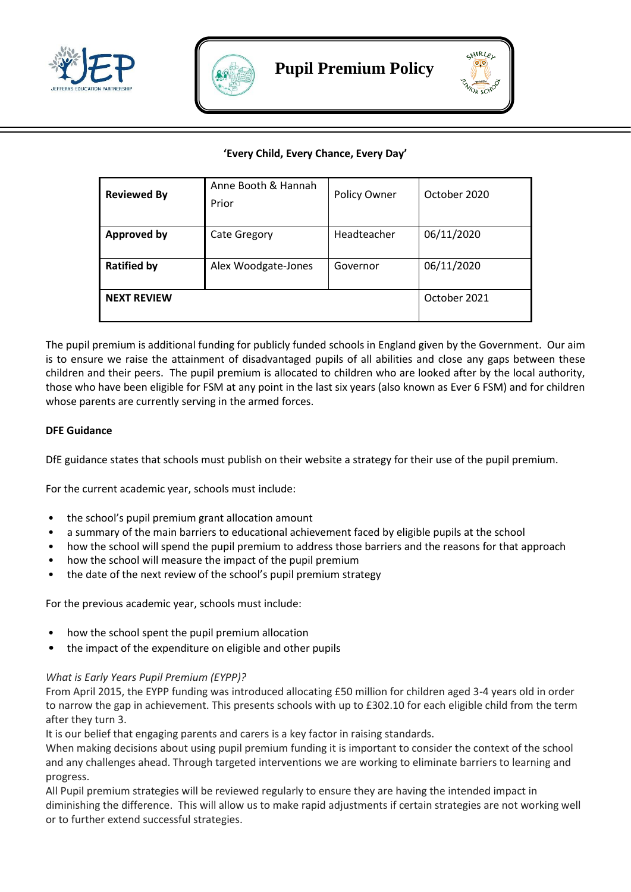





## **'Every Child, Every Chance, Every Day'**

| <b>Reviewed By</b> | Anne Booth & Hannah<br>Prior | Policy Owner | October 2020 |
|--------------------|------------------------------|--------------|--------------|
| <b>Approved by</b> | <b>Cate Gregory</b>          | Headteacher  | 06/11/2020   |
| <b>Ratified by</b> | Alex Woodgate-Jones          | Governor     | 06/11/2020   |
| <b>NEXT REVIEW</b> |                              |              | October 2021 |

The pupil premium is additional funding for publicly funded schools in England given by the Government. Our aim is to ensure we raise the attainment of disadvantaged pupils of all abilities and close any gaps between these children and their peers. The pupil premium is allocated to children who are looked after by the local authority, those who have been eligible for FSM at any point in the last six years (also known as Ever 6 FSM) and for children whose parents are currently serving in the armed forces.

## **DFE Guidance**

DfE guidance states that schools must publish on their website a strategy for their use of the pupil premium.

For the current academic year, schools must include:

- the school's pupil premium grant allocation amount
- a summary of the main barriers to educational achievement faced by eligible pupils at the school
- how the school will spend the pupil premium to address those barriers and the reasons for that approach
- how the school will measure the impact of the pupil premium
- the date of the next review of the school's pupil premium strategy

For the previous academic year, schools must include:

- how the school spent the pupil premium allocation
- the impact of the expenditure on eligible and other pupils

### *What is Early Years Pupil Premium (EYPP)?*

From April 2015, the EYPP funding was introduced allocating £50 million for children aged 3-4 years old in order to narrow the gap in achievement. This presents schools with up to £302.10 for each eligible child from the term after they turn 3.

It is our belief that engaging parents and carers is a key factor in raising standards.

When making decisions about using pupil premium funding it is important to consider the context of the school and any challenges ahead. Through targeted interventions we are working to eliminate barriers to learning and progress.

All Pupil premium strategies will be reviewed regularly to ensure they are having the intended impact in diminishing the difference. This will allow us to make rapid adjustments if certain strategies are not working well or to further extend successful strategies.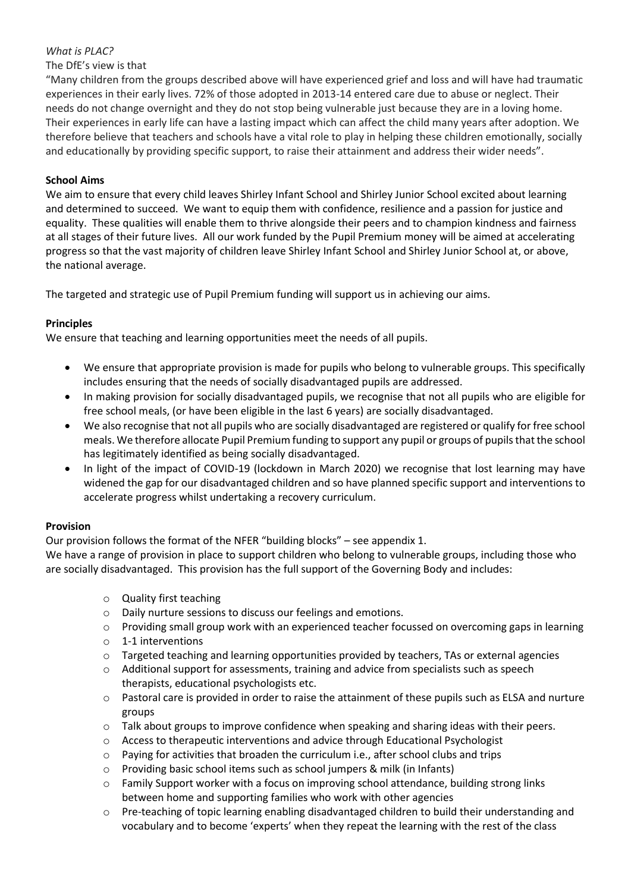## *What is PLAC?*

## The DfE's view is that

"Many children from the groups described above will have experienced grief and loss and will have had traumatic experiences in their early lives. 72% of those adopted in 2013-14 entered care due to abuse or neglect. Their needs do not change overnight and they do not stop being vulnerable just because they are in a loving home. Their experiences in early life can have a lasting impact which can affect the child many years after adoption. We therefore believe that teachers and schools have a vital role to play in helping these children emotionally, socially and educationally by providing specific support, to raise their attainment and address their wider needs".

## **School Aims**

We aim to ensure that every child leaves Shirley Infant School and Shirley Junior School excited about learning and determined to succeed. We want to equip them with confidence, resilience and a passion for justice and equality. These qualities will enable them to thrive alongside their peers and to champion kindness and fairness at all stages of their future lives. All our work funded by the Pupil Premium money will be aimed at accelerating progress so that the vast majority of children leave Shirley Infant School and Shirley Junior School at, or above, the national average.

The targeted and strategic use of Pupil Premium funding will support us in achieving our aims.

## **Principles**

We ensure that teaching and learning opportunities meet the needs of all pupils.

- We ensure that appropriate provision is made for pupils who belong to vulnerable groups. This specifically includes ensuring that the needs of socially disadvantaged pupils are addressed.
- In making provision for socially disadvantaged pupils, we recognise that not all pupils who are eligible for free school meals, (or have been eligible in the last 6 years) are socially disadvantaged.
- We also recognise that not all pupils who are socially disadvantaged are registered or qualify for free school meals. We therefore allocate Pupil Premium funding to support any pupil or groups of pupils that the school has legitimately identified as being socially disadvantaged.
- In light of the impact of COVID-19 (lockdown in March 2020) we recognise that lost learning may have widened the gap for our disadvantaged children and so have planned specific support and interventions to accelerate progress whilst undertaking a recovery curriculum.

## **Provision**

Our provision follows the format of the NFER "building blocks" – see appendix 1.

We have a range of provision in place to support children who belong to vulnerable groups, including those who are socially disadvantaged. This provision has the full support of the Governing Body and includes:

- o Quality first teaching
- o Daily nurture sessions to discuss our feelings and emotions.
- o Providing small group work with an experienced teacher focussed on overcoming gaps in learning
- o 1-1 interventions
- $\circ$  Targeted teaching and learning opportunities provided by teachers, TAs or external agencies
- $\circ$  Additional support for assessments, training and advice from specialists such as speech therapists, educational psychologists etc.
- $\circ$  Pastoral care is provided in order to raise the attainment of these pupils such as ELSA and nurture groups
- o Talk about groups to improve confidence when speaking and sharing ideas with their peers.
- o Access to therapeutic interventions and advice through Educational Psychologist
- $\circ$  Paying for activities that broaden the curriculum i.e., after school clubs and trips
- o Providing basic school items such as school jumpers & milk (in Infants)
- Family Support worker with a focus on improving school attendance, building strong links between home and supporting families who work with other agencies
- o Pre-teaching of topic learning enabling disadvantaged children to build their understanding and vocabulary and to become 'experts' when they repeat the learning with the rest of the class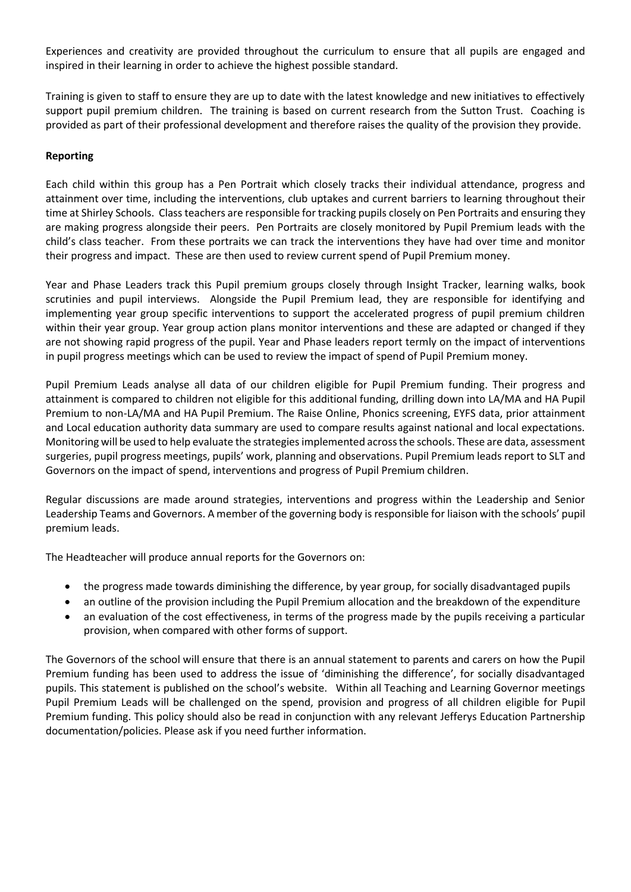Experiences and creativity are provided throughout the curriculum to ensure that all pupils are engaged and inspired in their learning in order to achieve the highest possible standard.

Training is given to staff to ensure they are up to date with the latest knowledge and new initiatives to effectively support pupil premium children. The training is based on current research from the Sutton Trust. Coaching is provided as part of their professional development and therefore raises the quality of the provision they provide.

## **Reporting**

Each child within this group has a Pen Portrait which closely tracks their individual attendance, progress and attainment over time, including the interventions, club uptakes and current barriers to learning throughout their time at Shirley Schools. Class teachers are responsible for tracking pupils closely on Pen Portraits and ensuring they are making progress alongside their peers. Pen Portraits are closely monitored by Pupil Premium leads with the child's class teacher. From these portraits we can track the interventions they have had over time and monitor their progress and impact. These are then used to review current spend of Pupil Premium money.

Year and Phase Leaders track this Pupil premium groups closely through Insight Tracker, learning walks, book scrutinies and pupil interviews. Alongside the Pupil Premium lead, they are responsible for identifying and implementing year group specific interventions to support the accelerated progress of pupil premium children within their year group. Year group action plans monitor interventions and these are adapted or changed if they are not showing rapid progress of the pupil. Year and Phase leaders report termly on the impact of interventions in pupil progress meetings which can be used to review the impact of spend of Pupil Premium money.

Pupil Premium Leads analyse all data of our children eligible for Pupil Premium funding. Their progress and attainment is compared to children not eligible for this additional funding, drilling down into LA/MA and HA Pupil Premium to non-LA/MA and HA Pupil Premium. The Raise Online, Phonics screening, EYFS data, prior attainment and Local education authority data summary are used to compare results against national and local expectations. Monitoring will be used to help evaluate the strategiesimplemented across the schools. These are data, assessment surgeries, pupil progress meetings, pupils' work, planning and observations. Pupil Premium leads report to SLT and Governors on the impact of spend, interventions and progress of Pupil Premium children.

Regular discussions are made around strategies, interventions and progress within the Leadership and Senior Leadership Teams and Governors. A member of the governing body is responsible for liaison with the schools' pupil premium leads.

The Headteacher will produce annual reports for the Governors on:

- the progress made towards diminishing the difference, by year group, for socially disadvantaged pupils
- an outline of the provision including the Pupil Premium allocation and the breakdown of the expenditure
- an evaluation of the cost effectiveness, in terms of the progress made by the pupils receiving a particular provision, when compared with other forms of support.

The Governors of the school will ensure that there is an annual statement to parents and carers on how the Pupil Premium funding has been used to address the issue of 'diminishing the difference', for socially disadvantaged pupils. This statement is published on the school's website. Within all Teaching and Learning Governor meetings Pupil Premium Leads will be challenged on the spend, provision and progress of all children eligible for Pupil Premium funding. This policy should also be read in conjunction with any relevant Jefferys Education Partnership documentation/policies. Please ask if you need further information.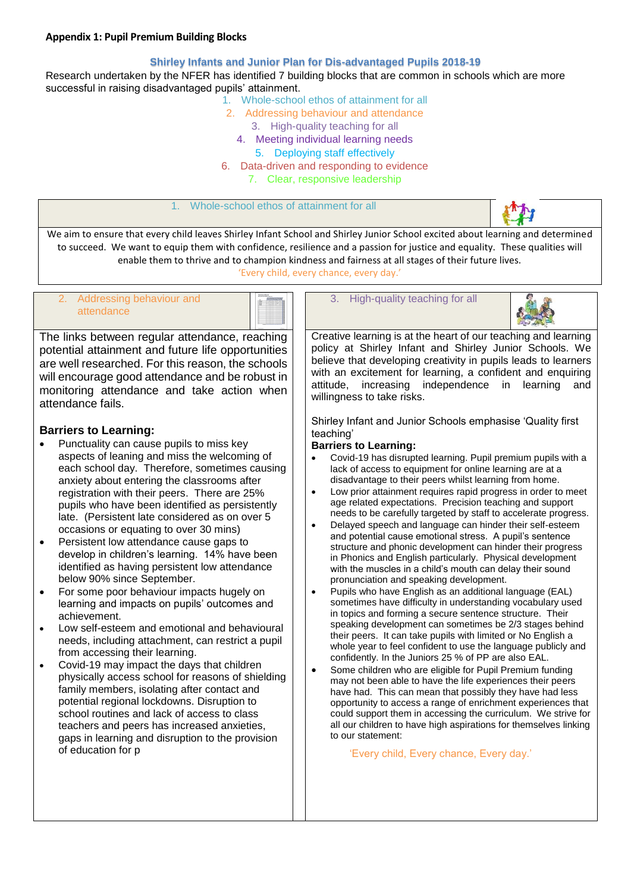#### **Appendix 1: Pupil Premium Building Blocks**

#### **Shirley Infants and Junior Plan for Dis-advantaged Pupils 2018-19**

Research undertaken by the NFER has identified 7 building blocks that are common in schools which are more successful in raising disadvantaged pupils' attainment.

- 1. Whole-school ethos of attainment for all
- 2. Addressing behaviour and attendance
	- 3. High-quality teaching for all
	- 4. Meeting individual learning needs
		- 5. Deploying staff effectively
- 6. Data-driven and responding to evidence 7. Clear, responsive leadership

#### Whole-school ethos of attainment for all



We aim to ensure that every child leaves Shirley Infant School and Shirley Junior School excited about learning and determined to succeed. We want to equip them with confidence, resilience and a passion for justice and equality. These qualities will enable them to thrive and to champion kindness and fairness at all stages of their future lives.

'Every child, every chance, every day.'



The links between regular attendance, reaching potential attainment and future life opportunities are well researched. For this reason, the schools will encourage good attendance and be robust in monitoring attendance and take action when attendance fails.

## **Barriers to Learning:**

- Punctuality can cause pupils to miss key aspects of leaning and miss the welcoming of each school day. Therefore, sometimes causing anxiety about entering the classrooms after registration with their peers. There are 25% pupils who have been identified as persistently late. (Persistent late considered as on over 5 occasions or equating to over 30 mins)
- Persistent low attendance cause gaps to develop in children's learning. 14% have been identified as having persistent low attendance below 90% since September.
- For some poor behaviour impacts hugely on learning and impacts on pupils' outcomes and achievement.
- Low self-esteem and emotional and behavioural needs, including attachment, can restrict a pupil from accessing their learning.
- Covid-19 may impact the days that children physically access school for reasons of shielding family members, isolating after contact and potential regional lockdowns. Disruption to school routines and lack of access to class teachers and peers has increased anxieties, gaps in learning and disruption to the provision of education for p

#### 3. High-quality teaching for all



Creative learning is at the heart of our teaching and learning policy at Shirley Infant and Shirley Junior Schools. We believe that developing creativity in pupils leads to learners with an excitement for learning, a confident and enquiring attitude, increasing independence in learning and willingness to take risks.

Shirley Infant and Junior Schools emphasise 'Quality first teaching'

#### **Barriers to Learning:**

- Covid-19 has disrupted learning. Pupil premium pupils with a lack of access to equipment for online learning are at a disadvantage to their peers whilst learning from home.
- Low prior attainment requires rapid progress in order to meet age related expectations. Precision teaching and support needs to be carefully targeted by staff to accelerate progress.
- Delayed speech and language can hinder their self-esteem and potential cause emotional stress. A pupil's sentence structure and phonic development can hinder their progress in Phonics and English particularly. Physical development with the muscles in a child's mouth can delay their sound pronunciation and speaking development.
- Pupils who have English as an additional language (EAL) sometimes have difficulty in understanding vocabulary used in topics and forming a secure sentence structure. Their speaking development can sometimes be 2/3 stages behind their peers. It can take pupils with limited or No English a whole year to feel confident to use the language publicly and confidently. In the Juniors 25 % of PP are also EAL.
- Some children who are eligible for Pupil Premium funding may not been able to have the life experiences their peers have had. This can mean that possibly they have had less opportunity to access a range of enrichment experiences that could support them in accessing the curriculum. We strive for all our children to have high aspirations for themselves linking to our statement:

'Every child, Every chance, Every day.'